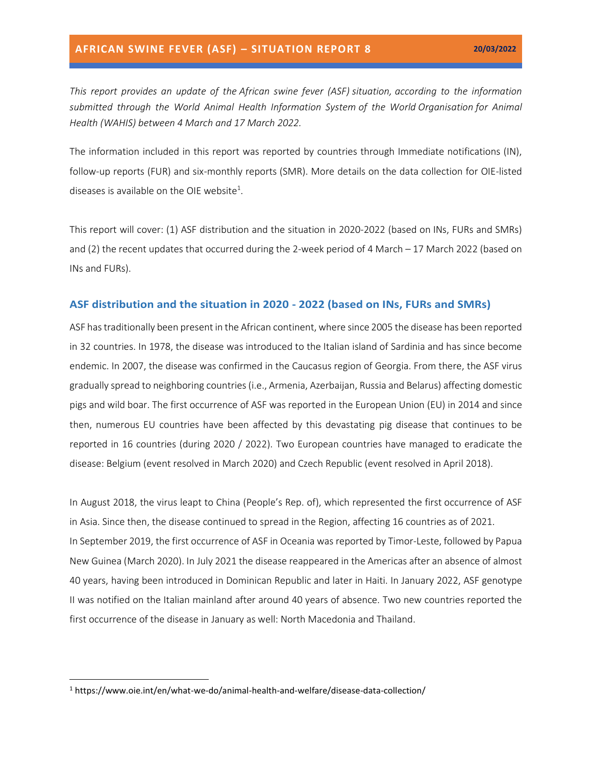*This report provides an update of the African swine fever (ASF) situation, according to the information submitted through the World Animal Health Information System of the World Organisation for Animal Health (WAHIS) between 4 March and 17 March 2022.*

The information included in this report was reported by countries through Immediate notifications (IN), follow-up reports (FUR) and six-monthly reports (SMR). More details on the data collection for OIE-listed diseases is available on the OIE website<sup>1</sup>.

This report will cover: (1) ASF distribution and the situation in 2020-2022 (based on INs, FURs and SMRs) and (2) the recent updates that occurred during the 2-week period of 4 March – 17 March 2022 (based on INs and FURs).

#### **ASF distribution and the situation in 2020 - 2022 (based on INs, FURs and SMRs)**

ASF has traditionally been present in the African continent, where since 2005 the disease has been reported in 32 countries. In 1978, the disease was introduced to the Italian island of Sardinia and has since become endemic. In 2007, the disease was confirmed in the Caucasus region of Georgia. From there, the ASF virus gradually spread to neighboring countries (i.e., Armenia, Azerbaijan, Russia and Belarus) affecting domestic pigs and wild boar. The first occurrence of ASF was reported in the European Union (EU) in 2014 and since then, numerous EU countries have been affected by this devastating pig disease that continues to be reported in 16 countries (during 2020 / 2022). Two European countries have managed to eradicate the disease: Belgium (event resolved in March 2020) and Czech Republic (event resolved in April 2018).

In August 2018, the virus leapt to China (People's Rep. of), which represented the first occurrence of ASF in Asia. Since then, the disease continued to spread in the Region, affecting 16 countries as of 2021. In September 2019, the first occurrence of ASF in Oceania was reported by Timor-Leste, followed by Papua New Guinea (March 2020). In July 2021 the disease reappeared in the Americas after an absence of almost 40 years, having been introduced in Dominican Republic and later in Haiti. In January 2022, ASF genotype II was notified on the Italian mainland after around 40 years of absence. Two new countries reported the first occurrence of the disease in January as well: North Macedonia and Thailand.

<sup>1</sup> https://www.oie.int/en/what-we-do/animal-health-and-welfare/disease-data-collection/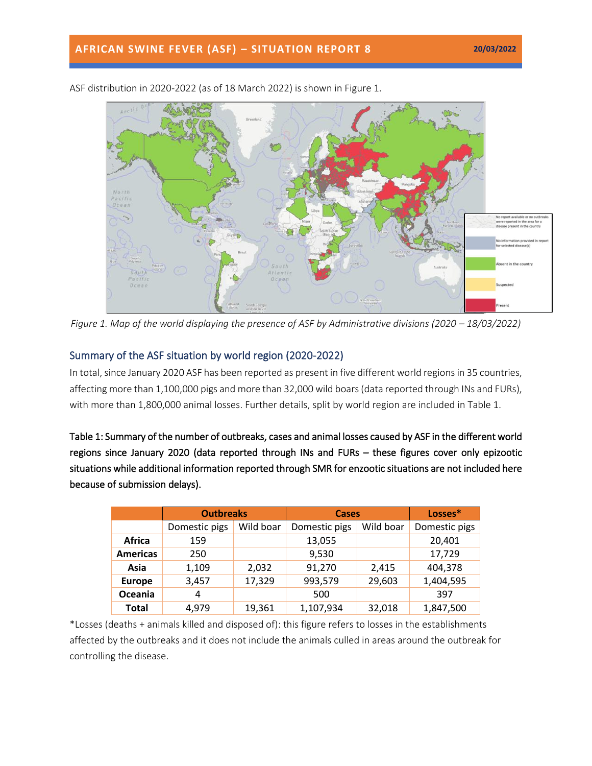

ASF distribution in 2020-2022 (as of 18 March 2022) is shown in Figure 1.

*Figure 1. Map of the world displaying the presence of ASF by Administrative divisions (2020 – 18/03/2022)* 

# Summary of the ASF situation by world region (2020-2022)

In total, since January 2020 ASF has been reported as present in five different world regions in 35 countries, affecting more than 1,100,000 pigs and more than 32,000 wild boars(data reported through INs and FURs), with more than 1,800,000 animal losses. Further details, split by world region are included in Table 1.

Table 1: Summary of the number of outbreaks, cases and animal losses caused by ASF in the different world regions since January 2020 (data reported through INs and FURs – these figures cover only epizootic situations while additional information reported through SMR for enzootic situations are not included here because of submission delays).

|                 | <b>Outbreaks</b> |           | <b>Cases</b>  |           | Losses*       |
|-----------------|------------------|-----------|---------------|-----------|---------------|
|                 | Domestic pigs    | Wild boar | Domestic pigs | Wild boar | Domestic pigs |
| <b>Africa</b>   | 159              |           | 13,055        |           | 20,401        |
| <b>Americas</b> | 250              |           | 9,530         |           | 17,729        |
| Asia            | 1,109            | 2,032     | 91,270        | 2,415     | 404,378       |
| <b>Europe</b>   | 3,457            | 17,329    | 993,579       | 29,603    | 1,404,595     |
| Oceania         | 4                |           | 500           |           | 397           |
| <b>Total</b>    | 4.979            | 19,361    | 1,107,934     | 32,018    | 1,847,500     |

\*Losses (deaths + animals killed and disposed of): this figure refers to losses in the establishments affected by the outbreaks and it does not include the animals culled in areas around the outbreak for controlling the disease.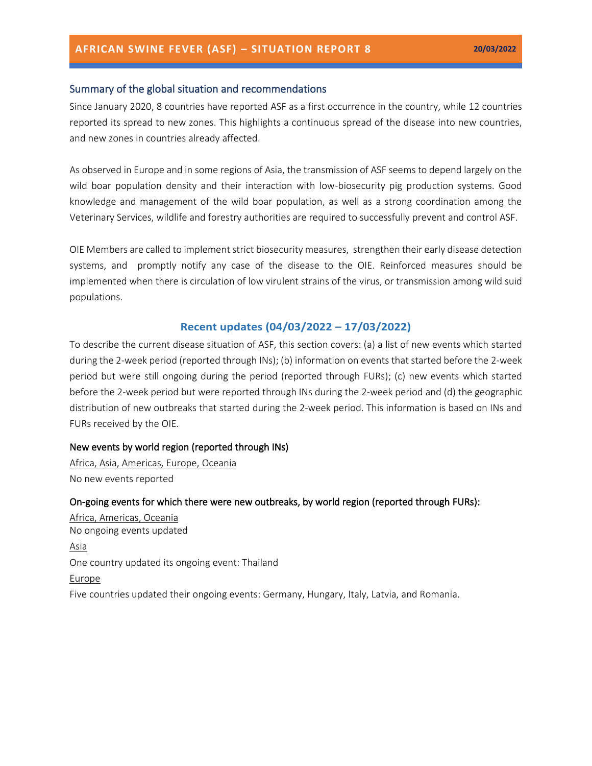## Summary of the global situation and recommendations

Since January 2020, 8 countries have reported ASF as a first occurrence in the country, while 12 countries reported its spread to new zones. This highlights a continuous spread of the disease into new countries, and new zones in countries already affected.

As observed in Europe and in some regions of Asia, the transmission of ASF seems to depend largely on the wild boar population density and their interaction with low-biosecurity pig production systems. Good knowledge and management of the wild boar population, as well as a strong coordination among the Veterinary Services, wildlife and forestry authorities are required to successfully prevent and control ASF.

OIE Members are called to implement strict [biosecurity measures,](https://trello.com/c/jbPlhbq6/55-infographic-en-es-fr-ru-ch) strengthen their early disease detection systems, and promptly notify any case of the disease to the OIE. Reinforced measures should be implemented when there is circulation of low virulent strains of the virus, or transmission among wild suid populations.

## **Recent updates (04/03/2022 – 17/03/2022)**

To describe the current disease situation of ASF, this section covers: (a) a list of new events which started during the 2-week period (reported through INs); (b) information on events that started before the 2-week period but were still ongoing during the period (reported through FURs); (c) new events which started before the 2-week period but were reported through INs during the 2-week period and (d) the geographic distribution of new outbreaks that started during the 2-week period. This information is based on INs and FURs received by the OIE.

#### New events by world region (reported through INs)

Africa, Asia, Americas, Europe, Oceania No new events reported

#### On-going events for which there were new outbreaks, by world region (reported through FURs):

Africa, Americas, Oceania No ongoing events updated Asia One country updated its ongoing event: Thailand Europe Five countries updated their ongoing events: Germany, Hungary, Italy, Latvia, and Romania.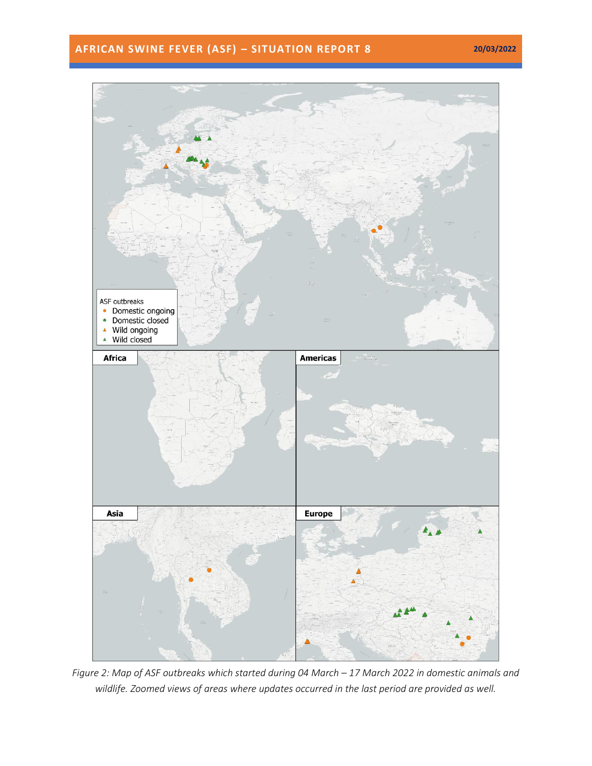# **AFRICAN SWINE FEVER (ASF) – SITUATION REPORT 8 20/03/2022**



*Figure 2: Map of ASF outbreaks which started during 04 March – 17 March 2022 in domestic animals and wildlife. Zoomed views of areas where updates occurred in the last period are provided as well.*